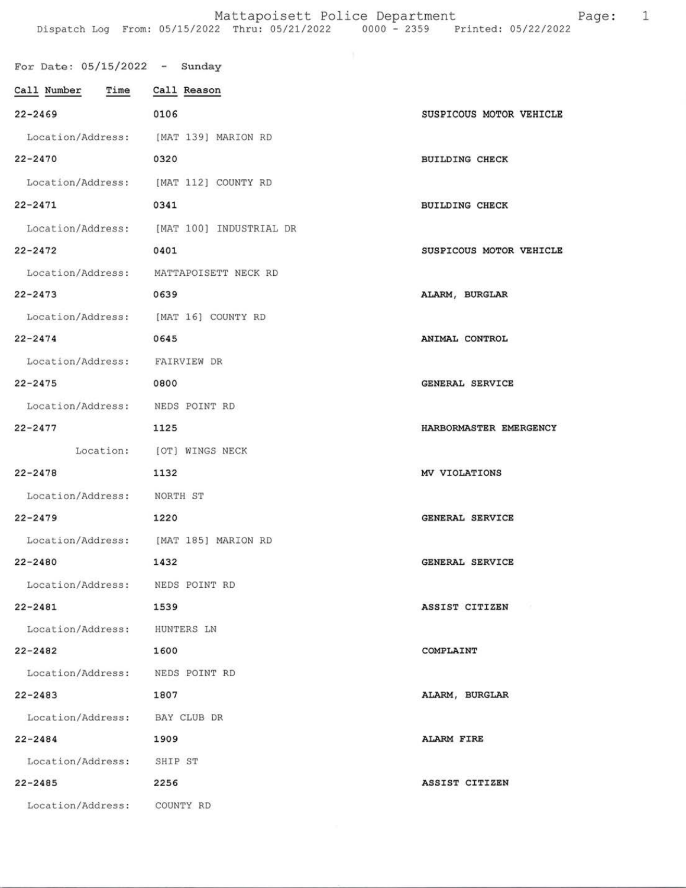## Mattapoisett Police Department Fage: 1 Dispatch Log Erom: 05/15/2022 Thru: 05/21/2022 0000 - 2359 Printed: 05/22/2022

| For Date: $05/15/2022 -$ Sunday      |                                           |                         |
|--------------------------------------|-------------------------------------------|-------------------------|
| Call Number Time Call Reason         |                                           |                         |
| $22 - 2469$                          | 0106                                      | SUSPICOUS MOTOR VEHICLE |
|                                      | Location/Address: [MAT 139] MARION RD     |                         |
| $22 - 2470$                          | 0320                                      | <b>BUILDING CHECK</b>   |
| Location/Address:                    | [MAT 112] COUNTY RD                       |                         |
| $22 - 2471$                          | 0341                                      | <b>BUILDING CHECK</b>   |
|                                      | Location/Address: [MAT 100] INDUSTRIAL DR |                         |
| $22 - 2472$                          | 0401                                      | SUSPICOUS MOTOR VEHICLE |
|                                      | Location/Address: MATTAPOISETT NECK RD    |                         |
| $22 - 2473$                          | 0639                                      | ALARM, BURGLAR          |
| Location/Address: [MAT 16] COUNTY RD |                                           |                         |
| $22 - 2474$                          | 0645                                      | ANIMAL CONTROL          |
| Location/Address: FAIRVIEW DR        |                                           |                         |
| $22 - 2475$                          | 0800                                      | GENERAL SERVICE         |
| Location/Address: NEDS POINT RD      |                                           |                         |
| $22 - 2477$                          | 1125                                      | HARBORMASTER EMERGENCY  |
|                                      | Location: [OT] WINGS NECK                 |                         |
| $22 - 2478$                          | 1132                                      | MV VIOLATIONS           |
| Location/Address:                    | NORTH ST                                  |                         |
| $22 - 2479$                          | 1220                                      | GENERAL SERVICE         |
|                                      | Location/Address: [MAT 185] MARION RD     |                         |
| $22 - 2480$                          | 1432                                      | GENERAL SERVICE         |
| Location/Address: NEDS POINT RD      |                                           |                         |
| $22 - 2481$                          | 1539                                      | ASSIST CITIZEN          |
| Location/Address: HUNTERS LN         |                                           |                         |
| $22 - 2482$                          | 1600                                      | COMPLAINT               |
| Location/Address: NEDS POINT RD      |                                           |                         |
| $22 - 2483$                          | 1807                                      | ALARM, BURGLAR          |
| Location/Address: BAY CLUB DR        |                                           |                         |
| 22-2484                              | 1909                                      | ALARM FIRE              |
| Location/Address: SHIP ST            |                                           |                         |
| $22 - 2485$                          | 2256                                      | ASSIST CITIZEN          |
| Location/Address: COUNTY RD          |                                           |                         |
|                                      |                                           |                         |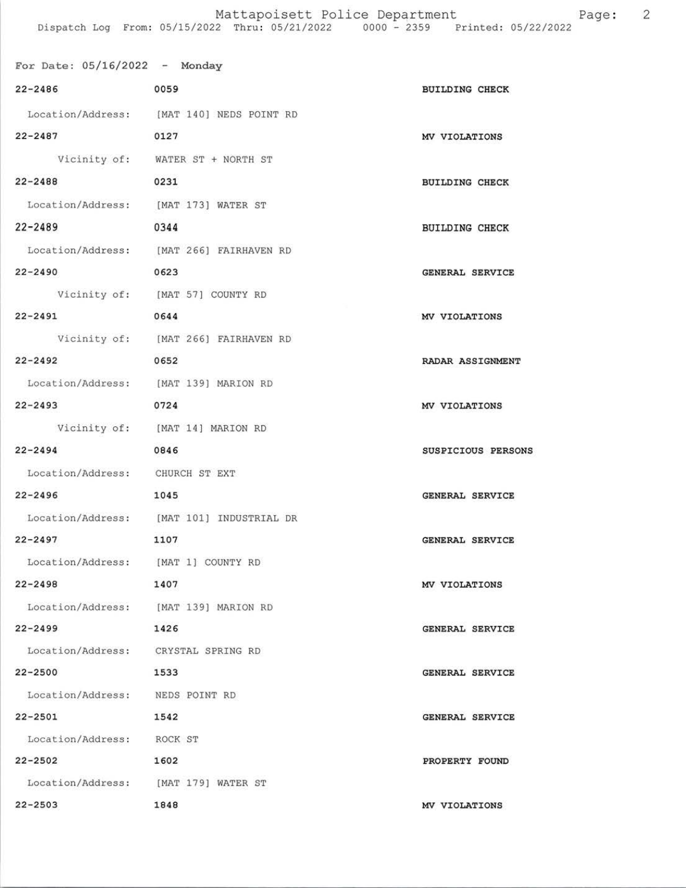| For Date: $05/16/2022 -$ Monday       |                                           |                        |
|---------------------------------------|-------------------------------------------|------------------------|
| $22 - 2486$                           | 0059                                      | <b>BUILDING CHECK</b>  |
|                                       | Location/Address: [MAT 140] NEDS POINT RD |                        |
| $22 - 2487$                           | 0127                                      | MV VIOLATIONS          |
|                                       | Vicinity of: WATER ST + NORTH ST          |                        |
| $22 - 2488$                           | 0231                                      | <b>BUILDING CHECK</b>  |
| Location/Address: [MAT 173] WATER ST  |                                           |                        |
| $22 - 2489$                           | 0344                                      | <b>BUILDING CHECK</b>  |
|                                       | Location/Address: [MAT 266] FAIRHAVEN RD  |                        |
| $22 - 2490$                           | 0623                                      | GENERAL SERVICE        |
|                                       | Vicinity of: [MAT 57] COUNTY RD           |                        |
| $22 - 2491$                           | 0644                                      | MV VIOLATIONS          |
|                                       | Vicinity of: [MAT 266] FAIRHAVEN RD       |                        |
| $22 - 2492$                           | 0652                                      | RADAR ASSIGNMENT       |
| Location/Address: [MAT 139] MARION RD |                                           |                        |
| $22 - 2493$                           | 0724                                      | MV VIOLATIONS          |
|                                       | Vicinity of: [MAT 14] MARION RD           |                        |
| $22 - 2494$                           | 0846                                      | SUSPICIOUS PERSONS     |
| Location/Address: CHURCH ST EXT       |                                           |                        |
| $22 - 2496$                           | 1045                                      | <b>GENERAL SERVICE</b> |
|                                       | Location/Address: [MAT 101] INDUSTRIAL DR |                        |
| $22 - 2497$                           | 1107                                      | GENERAL SERVICE        |
| Location/Address: [MAT 1] COUNTY RD   |                                           |                        |
| $22 - 2498$                           | 1407                                      | MV VIOLATIONS          |
|                                       | Location/Address: [MAT 139] MARION RD     |                        |
| $22 - 2499$                           | 1426                                      | GENERAL SERVICE        |
| Location/Address: CRYSTAL SPRING RD   |                                           |                        |
| $22 - 2500$                           | 1533                                      | GENERAL SERVICE        |
| Location/Address: NEDS POINT RD       |                                           |                        |
| $22 - 2501$                           | 1542                                      | GENERAL SERVICE        |
| Location/Address: ROCK ST             |                                           |                        |
| $22 - 2502$                           | 1602                                      | PROPERTY FOUND         |
| Location/Address: [MAT 179] WATER ST  |                                           |                        |
| $22 - 2503$                           | 1848                                      | MV VIOLATIONS          |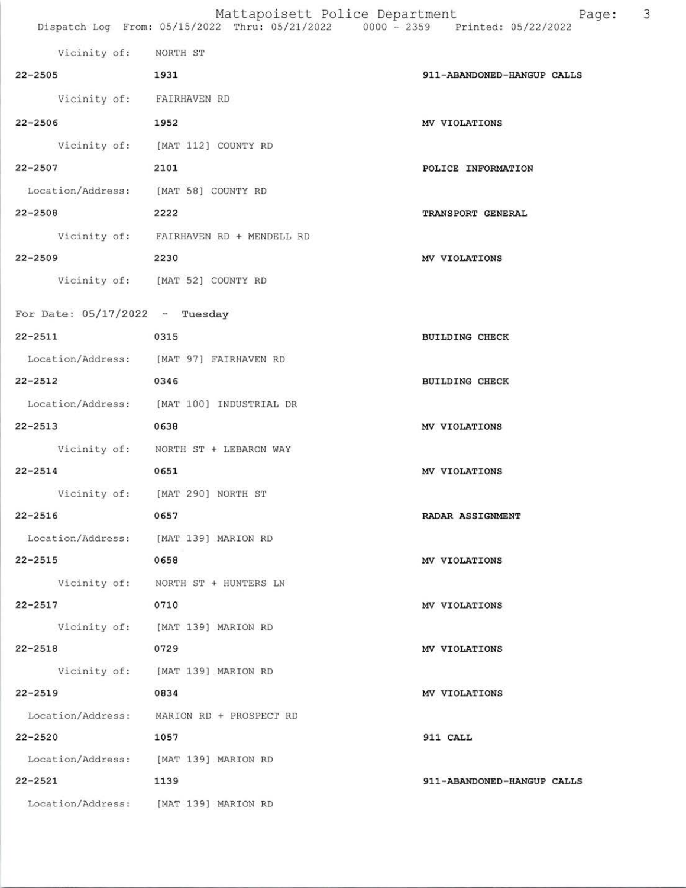| Vicinity of: NORTH ST                 |                                           |                            |
|---------------------------------------|-------------------------------------------|----------------------------|
| 22-2505 1931                          |                                           | 911-ABANDONED-HANGUP CALLS |
| Vicinity of: FAIRHAVEN RD             |                                           |                            |
| 22-2506                               | 1952                                      | MV VIOLATIONS              |
|                                       | Vicinity of: [MAT 112] COUNTY RD          |                            |
| $22 - 2507$                           | 2101                                      | POLICE INFORMATION         |
| Location/Address: [MAT 58] COUNTY RD  |                                           |                            |
| 22-2508                               | 2222                                      | TRANSPORT GENERAL          |
|                                       | Vicinity of: FAIRHAVEN RD + MENDELL RD    |                            |
| 22-2509 2230                          |                                           | MV VIOLATIONS              |
|                                       | Vicinity of: [MAT 52] COUNTY RD           |                            |
| For Date: $05/17/2022 -$ Tuesday      |                                           |                            |
| 22-2511<br>0315                       |                                           | BUILDING CHECK             |
|                                       | Location/Address: [MAT 97] FAIRHAVEN RD   |                            |
| 22-2512                               | 0346                                      | BUILDING CHECK             |
|                                       | Location/Address: [MAT 100] INDUSTRIAL DR |                            |
| 22-2513                               | 0638                                      | MV VIOLATIONS              |
|                                       | Vicinity of: NORTH ST + LEBARON WAY       |                            |
| $22 - 2514$                           | 0651                                      | MV VIOLATIONS              |
|                                       | Vicinity of: [MAT 290] NORTH ST           |                            |
| 22-2516                               | 0657                                      | RADAR ASSIGNMENT           |
| Location/Address: [MAT 139] MARION RD |                                           |                            |
| 22-2515                               | 0658                                      | MV VIOLATIONS              |
|                                       | Vicinity of: NORTH ST + HUNTERS LN        |                            |
| 22-2517                               | 0710                                      | MV VIOLATIONS              |
|                                       | Vicinity of: [MAT 139] MARION RD          |                            |
| 22-2518                               | 0729                                      | MV VIOLATIONS              |
|                                       | Vicinity of: [MAT 139] MARION RD          |                            |
| 22-2519                               | 0834                                      | MV VIOLATIONS              |
|                                       | Location/Address: MARION RD + PROSPECT RD |                            |
| 22-2520                               | 1057                                      | 911 CALL                   |
| Location/Address: [MAT 139] MARION RD |                                           |                            |
| 22-2521                               | 1139                                      | 911-ABANDONED-HANGUP CALLS |
| Location/Address: [MAT 139] MARION RD |                                           |                            |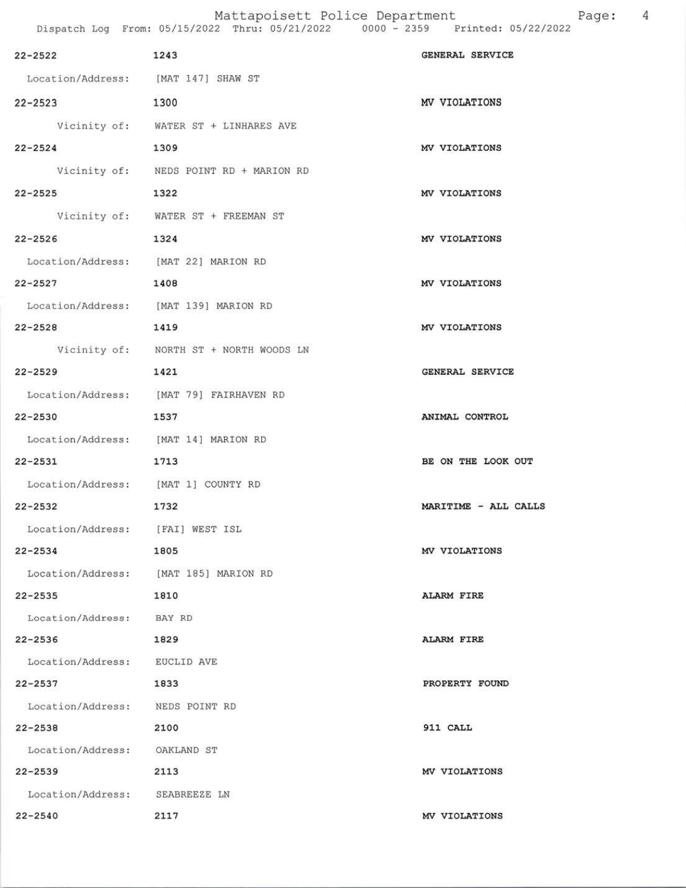|                                       | Mattapoisett Police Department                                                 |                      |
|---------------------------------------|--------------------------------------------------------------------------------|----------------------|
|                                       | Dispatch Log From: 05/15/2022 Thru: 05/21/2022 0000 - 2359 Printed: 05/22/2022 |                      |
| 22-2522                               | 1243                                                                           | GENERAL SERVICE      |
| Location/Address: [MAT 147] SHAW ST   |                                                                                |                      |
| 22-2523                               | 1300                                                                           | MV VIOLATIONS        |
|                                       | Vicinity of: WATER ST + LINHARES AVE                                           |                      |
| $22 - 2524$                           | 1309                                                                           | MV VIOLATIONS        |
|                                       | Vicinity of: NEDS POINT RD + MARION RD                                         |                      |
| $22 - 2525$                           | 1322                                                                           | MV VIOLATIONS        |
|                                       | Vicinity of: WATER ST + FREEMAN ST                                             |                      |
| $22 - 2526$                           | 1324                                                                           | MV VIOLATIONS        |
| Location/Address: [MAT 22] MARION RD  |                                                                                |                      |
| 22-2527                               | 1408                                                                           | MV VIOLATIONS        |
| Location/Address: [MAT 139] MARION RD |                                                                                |                      |
| 22-2528<br>1419                       |                                                                                | MV VIOLATIONS        |
|                                       | Vicinity of: NORTH ST + NORTH WOODS LN                                         |                      |
| 22-2529                               | 1421                                                                           | GENERAL SERVICE      |
|                                       | Location/Address: [MAT 79] FAIRHAVEN RD                                        |                      |
| 22-2530                               | 1537                                                                           | ANIMAL CONTROL       |
| Location/Address: [MAT 14] MARION RD  |                                                                                |                      |
| 22-2531                               | 1713                                                                           | BE ON THE LOOK OUT   |
| Location/Address: [MAT 1] COUNTY RD   |                                                                                |                      |
| 22-2532                               | 1732                                                                           | MARITIME - ALL CALLS |
| Location/Address: [FAI] WEST ISL      |                                                                                |                      |
| 22-2534                               | 1805                                                                           | MV VIOLATIONS        |
| Location/Address: [MAT 185] MARION RD |                                                                                |                      |
| 22-2535                               | 1810                                                                           | ALARM FIRE           |
| Location/Address: BAY RD              |                                                                                |                      |
| 22-2536                               | 1829                                                                           | <b>ALARM FIRE</b>    |
| Location/Address: EUCLID AVE          |                                                                                |                      |
| $22 - 2537$                           | 1833                                                                           | PROPERTY FOUND       |
| Location/Address: NEDS POINT RD       |                                                                                |                      |
| 22-2538                               | 2100                                                                           | 911 CALL             |
| Location/Address: OAKLAND ST          |                                                                                |                      |
| 22-2539<br>2113                       |                                                                                | MV VIOLATIONS        |
| Location/Address: SEABREEZE LN        |                                                                                |                      |

22-2540 2117 2007 2007 2008 2009 2017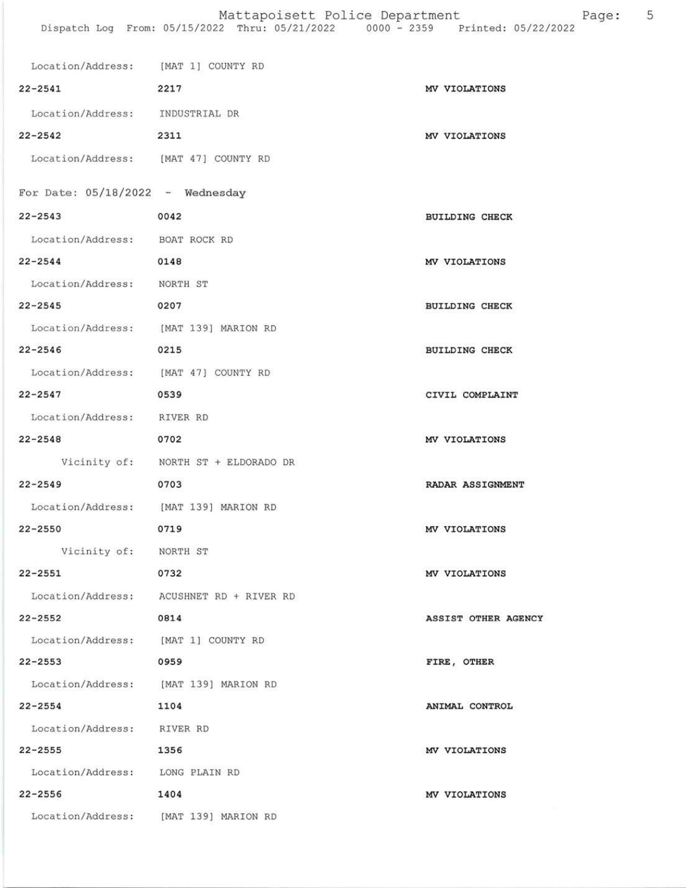| Location/Address: [MAT 1] COUNTY RD   |                                          |                       |
|---------------------------------------|------------------------------------------|-----------------------|
| $22 - 2541$                           | 2217                                     | MV VIOLATIONS         |
| Location/Address: INDUSTRIAL DR       |                                          |                       |
| $22 - 2542$                           | 2311                                     | MV VIOLATIONS         |
| Location/Address: [MAT 47] COUNTY RD  |                                          |                       |
| For Date: $05/18/2022 -$ Wednesday    |                                          |                       |
| $22 - 2543$                           | 0042                                     | <b>BUILDING CHECK</b> |
| Location/Address: BOAT ROCK RD        |                                          |                       |
| $22 - 2544$                           | 0148                                     | MV VIOLATIONS         |
| Location/Address: NORTH ST            |                                          |                       |
| $22 - 2545$                           | 0207                                     | <b>BUILDING CHECK</b> |
| Location/Address: [MAT 139] MARION RD |                                          |                       |
| $22 - 2546$                           | 0215                                     | <b>BUILDING CHECK</b> |
| Location/Address: [MAT 47] COUNTY RD  |                                          |                       |
| $22 - 2547$                           | 0539                                     | CIVIL COMPLAINT       |
| Location/Address: RIVER RD            |                                          |                       |
| $22 - 2548$                           | 0702                                     | MV VIOLATIONS         |
|                                       | Vicinity of: NORTH ST + ELDORADO DR      |                       |
| $22 - 2549$                           | 0703                                     | RADAR ASSIGNMENT      |
| Location/Address: [MAT 139] MARION RD |                                          |                       |
| $22 - 2550$                           | 0719                                     | MV VIOLATIONS         |
| Vicinity of: NORTH ST                 |                                          |                       |
| $22 - 2551$                           | 0732                                     | MV VIOLATIONS         |
|                                       | Location/Address: ACUSHNET RD + RIVER RD |                       |
| $22 - 2552$                           | 0814                                     | ASSIST OTHER AGENCY   |
| Location/Address: [MAT 1] COUNTY RD   |                                          |                       |
| $22 - 2553$                           | 0959                                     | FIRE, OTHER           |
| Location/Address: [MAT 139] MARION RD |                                          |                       |
| $22 - 2554$                           | 1104                                     | ANIMAL CONTROL        |
| Location/Address: RIVER RD            |                                          |                       |
| $22 - 2555$                           | 1356                                     | MV VIOLATIONS         |
| Location/Address: LONG PLAIN RD       |                                          |                       |
| $22 - 2556$                           | 1404                                     | MV VIOLATIONS         |
|                                       | Location/Address: [MAT 139] MARION RD    |                       |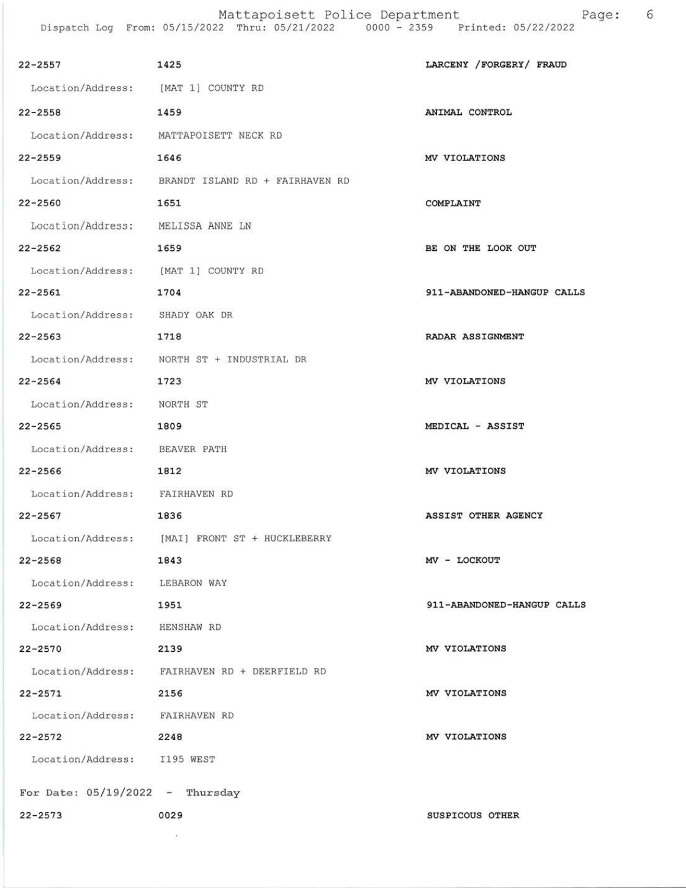Mattapoisett Police Department Page: 6 Dispatch Log Erom: 05/L5/2022 Thru: 05/27/2022 0000 - 2359 Printed: 05/22/2022

| $22 - 2557$                         | 1425                                              | LARCENY / FORGERY / FRAUD  |
|-------------------------------------|---------------------------------------------------|----------------------------|
| Location/Address: [MAT 1] COUNTY RD |                                                   |                            |
| 22-2558                             | 1459                                              | ANIMAL CONTROL             |
|                                     | Location/Address: MATTAPOISETT NECK RD            |                            |
| $22 - 2559$                         | 1646                                              | MV VIOLATIONS              |
|                                     | Location/Address: BRANDT ISLAND RD + FAIRHAVEN RD |                            |
| $22 - 2560$                         | 1651                                              | COMPLAINT                  |
| Location/Address: MELISSA ANNE LN   |                                                   |                            |
| $22 - 2562$                         | 1659                                              | BE ON THE LOOK OUT         |
| Location/Address: [MAT 1] COUNTY RD |                                                   |                            |
| $22 - 2561$                         | 1704                                              | 911-ABANDONED-HANGUP CALLS |
| Location/Address: SHADY OAK DR      |                                                   |                            |
| $22 - 2563$                         | 1718                                              | RADAR ASSIGNMENT           |
|                                     | Location/Address: NORTH ST + INDUSTRIAL DR        |                            |
| $22 - 2564$                         | 1723                                              | MV VIOLATIONS              |
| Location/Address: NORTH ST          |                                                   |                            |
| $22 - 2565$                         | 1809                                              | MEDICAL - ASSIST           |
| Location/Address: BEAVER PATH       |                                                   |                            |
| $22 - 2566$                         | 1812                                              | MV VIOLATIONS              |
| Location/Address: FAIRHAVEN RD      |                                                   |                            |
| $22 - 2567$                         | 1836                                              | ASSIST OTHER AGENCY        |
|                                     | Location/Address: [MAI] FRONT ST + HUCKLEBERRY    |                            |
| $22 - 2568$                         | 1843                                              | MV - LOCKOUT               |
| Location/Address: LEBARON WAY       |                                                   |                            |
| 22-2569                             | 1951                                              | 911-ABANDONED-HANGUP CALLS |
| Location/Address: HENSHAW RD        |                                                   |                            |
| $22 - 2570$                         | 2139                                              | MV VIOLATIONS              |
|                                     | Location/Address: FAIRHAVEN RD + DEERFIELD RD     |                            |
| 22-2571                             | 2156                                              | MV VIOLATIONS              |
| Location/Address: FAIRHAVEN RD      |                                                   |                            |
| 22-2572 2248                        |                                                   | MV VIOLATIONS              |
| Location/Address: I195 WEST         |                                                   |                            |
| For Date: $05/19/2022 -$ Thursday   |                                                   |                            |
| $22 - 2573$                         | 0029                                              | SUSPICOUS OTHER            |
|                                     |                                                   |                            |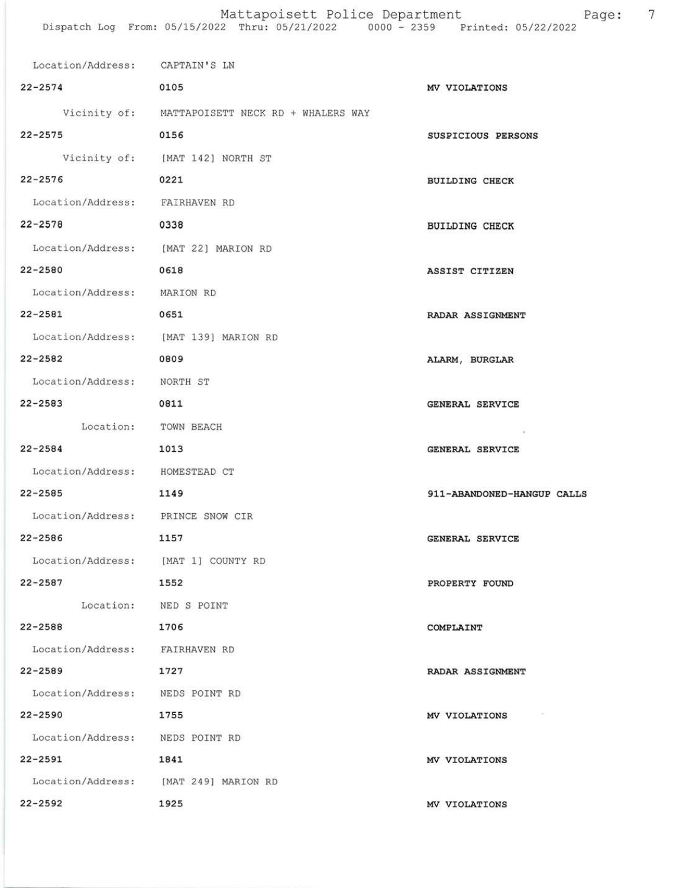| Location/Address: CAPTAIN'S LN        |                                                 |                            |
|---------------------------------------|-------------------------------------------------|----------------------------|
| $22 - 2574$                           | 0105                                            | MV VIOLATIONS              |
|                                       | Vicinity of: MATTAPOISETT NECK RD + WHALERS WAY |                            |
| $22 - 2575$                           | 0156                                            | SUSPICIOUS PERSONS         |
|                                       | Vicinity of: [MAT 142] NORTH ST                 |                            |
| $22 - 2576$                           | 0221                                            | <b>BUILDING CHECK</b>      |
| Location/Address: FAIRHAVEN RD        |                                                 |                            |
| $22 - 2578$                           | 0338                                            | <b>BUILDING CHECK</b>      |
| Location/Address: [MAT 22] MARION RD  |                                                 |                            |
| 22-2580                               | 0618                                            | ASSIST CITIZEN             |
| Location/Address: MARION RD           |                                                 |                            |
| 22-2581                               | 0651                                            | RADAR ASSIGNMENT           |
|                                       | Location/Address: [MAT 139] MARION RD           |                            |
| 22-2582                               | 0809                                            | ALARM, BURGLAR             |
| Location/Address: NORTH ST            |                                                 |                            |
| 22-2583                               | 0811                                            | <b>GENERAL SERVICE</b>     |
| Location: TOWN BEACH                  |                                                 |                            |
| $22 - 2584$                           | 1013                                            | GENERAL SERVICE            |
| Location/Address: HOMESTEAD CT        |                                                 |                            |
| $22 - 2585$                           | 1149                                            | 911-ABANDONED-HANGUP CALLS |
| Location/Address: PRINCE SNOW CIR     |                                                 |                            |
| $22 - 2586$                           | 1157                                            | GENERAL SERVICE            |
| Location/Address: [MAT 1] COUNTY RD   |                                                 |                            |
| 22-2587                               | 1552                                            | PROPERTY FOUND             |
| Location: NED S POINT                 |                                                 |                            |
| 22-2588                               | 1706                                            | COMPLAINT                  |
| Location/Address: FAIRHAVEN RD        |                                                 |                            |
| 22-2589                               | 1727                                            | RADAR ASSIGNMENT           |
| Location/Address: NEDS POINT RD       |                                                 |                            |
| 22-2590                               | 1755                                            | MV VIOLATIONS              |
| Location/Address: NEDS POINT RD       |                                                 |                            |
| 22-2591                               | 1841                                            | MV VIOLATIONS              |
| Location/Address: [MAT 249] MARION RD |                                                 |                            |
| $22 - 2592$                           | 1925                                            | MV VIOLATIONS              |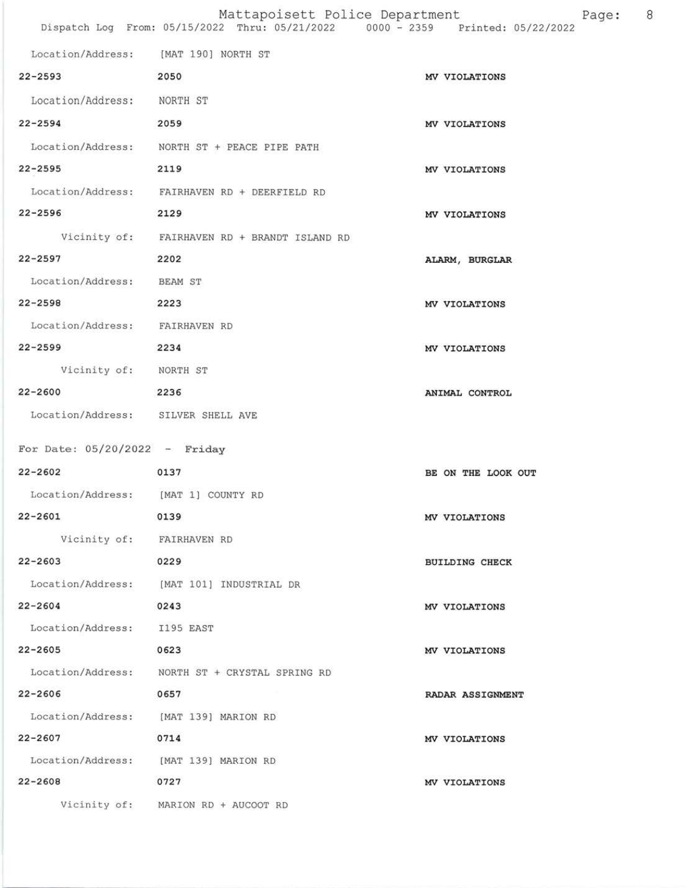|                                       | Mattapoisett Police Department<br>Dispatch Log From: 05/15/2022 Thru: 05/21/2022 0000 - 2359 Printed: 05/22/2022 | 8<br>Page:            |
|---------------------------------------|------------------------------------------------------------------------------------------------------------------|-----------------------|
| Location/Address: [MAT 190] NORTH ST  |                                                                                                                  |                       |
| $22 - 2593$                           | 2050                                                                                                             | MV VIOLATIONS         |
| Location/Address: NORTH ST            |                                                                                                                  |                       |
| $22 - 2594$                           | 2059                                                                                                             | MV VIOLATIONS         |
|                                       | Location/Address: NORTH ST + PEACE PIPE PATH                                                                     |                       |
| $22 - 2595$                           | 2119                                                                                                             | MV VIOLATIONS         |
|                                       | Location/Address: FAIRHAVEN RD + DEERFIELD RD                                                                    |                       |
| $22 - 2596$                           | 2129                                                                                                             | MV VIOLATIONS         |
|                                       | Vicinity of: FAIRHAVEN RD + BRANDT ISLAND RD                                                                     |                       |
| $22 - 2597$                           | 2202                                                                                                             | ALARM, BURGLAR        |
| Location/Address: BEAM ST             |                                                                                                                  |                       |
| $22 - 2598$                           | 2223                                                                                                             | MV VIOLATIONS         |
| Location/Address: FAIRHAVEN RD        |                                                                                                                  |                       |
| $22 - 2599$                           | 2234                                                                                                             | MV VIOLATIONS         |
| Vicinity of: NORTH ST                 |                                                                                                                  |                       |
| 22-2600                               | 2236                                                                                                             | ANIMAL CONTROL        |
| Location/Address: SILVER SHELL AVE    |                                                                                                                  |                       |
| For Date: $05/20/2022 -$ Friday       |                                                                                                                  |                       |
| $22 - 2602$                           | 0137                                                                                                             | BE ON THE LOOK OUT    |
| Location/Address: [MAT 1] COUNTY RD   |                                                                                                                  |                       |
| $22 - 2601$                           | 0139                                                                                                             | MV VIOLATIONS         |
| Vicinity of: FAIRHAVEN RD             |                                                                                                                  |                       |
| $22 - 2603$                           | 0229                                                                                                             | <b>BUILDING CHECK</b> |
|                                       | Location/Address: [MAT 101] INDUSTRIAL DR                                                                        |                       |
| $22 - 2604$                           | 0243                                                                                                             | MV VIOLATIONS         |
| Location/Address: I195 EAST           |                                                                                                                  |                       |
| 22-2605                               | 0623                                                                                                             | MV VIOLATIONS         |
|                                       | Location/Address: NORTH ST + CRYSTAL SPRING RD                                                                   |                       |
| 22-2606                               | 0657                                                                                                             | RADAR ASSIGNMENT      |
| Location/Address: [MAT 139] MARION RD |                                                                                                                  |                       |
| 22-2607                               | 0714                                                                                                             | MV VIOLATIONS         |
| Location/Address: [MAT 139] MARION RD |                                                                                                                  |                       |
| $22 - 2608$                           | 0727                                                                                                             | MV VIOLATIONS         |
|                                       | Vicinity of: MARION RD + AUCOOT RD                                                                               |                       |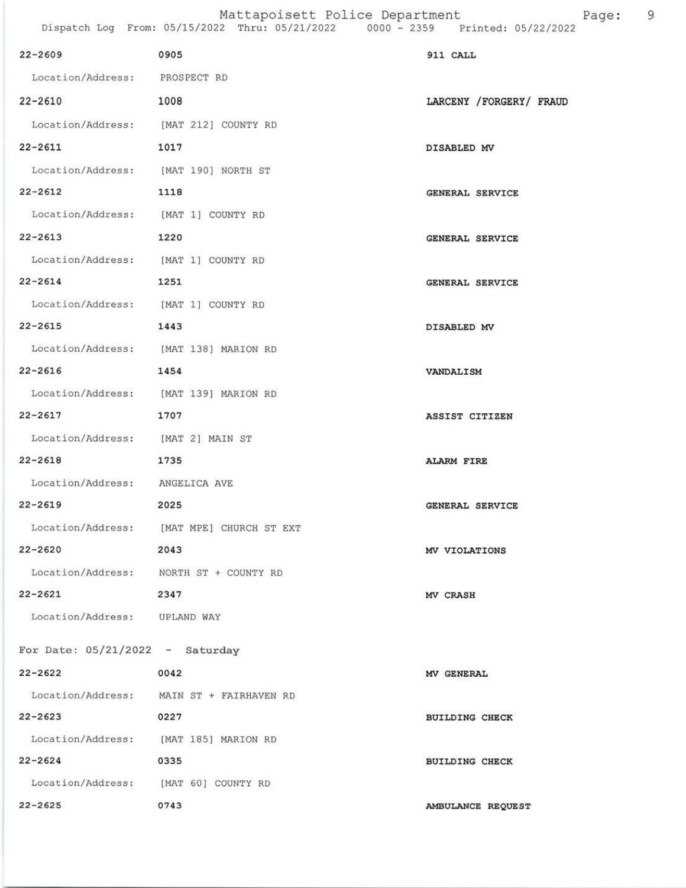| $22 - 2609$                            | 0905                                      | 911 CALL                |
|----------------------------------------|-------------------------------------------|-------------------------|
| Location/Address: PROSPECT RD          |                                           |                         |
| 22-2610                                | 1008                                      | LARCENY /FORGERY/ FRAUD |
| Location/Address: [MAT 212] COUNTY RD  |                                           |                         |
| 22-2611                                | 1017                                      | DISABLED MV             |
| Location/Address: [MAT 190] NORTH ST   |                                           |                         |
| $22 - 2612$                            | 1118                                      | <b>GENERAL SERVICE</b>  |
| Location/Address: [MAT 1] COUNTY RD    |                                           |                         |
| 22-2613                                | 1220                                      | GENERAL SERVICE         |
| Location/Address: [MAT 1] COUNTY RD    |                                           |                         |
| 22-2614                                | 1251                                      | GENERAL SERVICE         |
| Location/Address: [MAT 1] COUNTY RD    |                                           |                         |
| 22-2615                                | 1443                                      | DISABLED MV             |
| Location/Address: [MAT 138] MARION RD  |                                           |                         |
| 22-2616                                | 1454                                      | VANDALISM               |
| Location/Address: [MAT 139] MARION RD  |                                           |                         |
| $22 - 2617$                            | 1707                                      | ASSIST CITIZEN          |
| Location/Address: [MAT 2] MAIN ST      |                                           |                         |
| 22-2618                                | 1735                                      | ALARM FIRE              |
| Location/Address: ANGELICA AVE         |                                           |                         |
| $22 - 2619$                            | 2025                                      | GENERAL SERVICE         |
|                                        | Location/Address: [MAT MPE] CHURCH ST EXT |                         |
| $22 - 2620$                            | 2043                                      | MV VIOLATIONS           |
| Location/Address: NORTH ST + COUNTY RD |                                           |                         |
| $22 - 2621$                            | 2347                                      | MV CRASH                |
| Location/Address: UPLAND WAY           |                                           |                         |
| For Date: $05/21/2022 -$ Saturday      |                                           |                         |
| $22 - 2622$                            | 0042                                      | MV GENERAL              |
|                                        | Location/Address: MAIN ST + FAIRHAVEN RD  |                         |
| $22 - 2623$                            | 0227                                      | <b>BUILDING CHECK</b>   |
| Location/Address: [MAT 185] MARION RD  |                                           |                         |
| $22 - 2624$                            | 0335                                      | <b>BUILDING CHECK</b>   |
| Location/Address: [MAT 60] COUNTY RD   |                                           |                         |
| $22 - 2625$                            | 0743                                      | AMBULANCE REQUEST       |